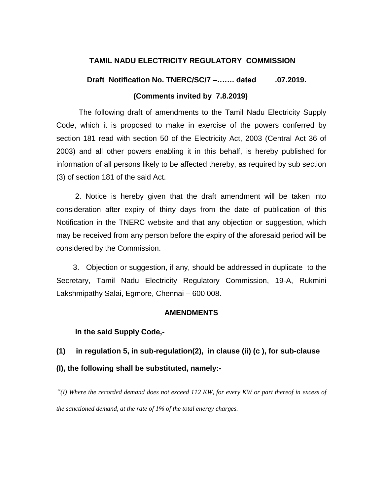# **TAMIL NADU ELECTRICITY REGULATORY COMMISSION**

# **Draft Notification No. TNERC/SC/7 –……. dated .07.2019. (Comments invited by 7.8.2019)**

The following draft of amendments to the Tamil Nadu Electricity Supply Code, which it is proposed to make in exercise of the powers conferred by section 181 read with section 50 of the Electricity Act, 2003 (Central Act 36 of 2003) and all other powers enabling it in this behalf, is hereby published for information of all persons likely to be affected thereby, as required by sub section (3) of section 181 of the said Act.

 2. Notice is hereby given that the draft amendment will be taken into consideration after expiry of thirty days from the date of publication of this Notification in the TNERC website and that any objection or suggestion, which may be received from any person before the expiry of the aforesaid period will be considered by the Commission.

 3. Objection or suggestion, if any, should be addressed in duplicate to the Secretary, Tamil Nadu Electricity Regulatory Commission, 19-A, Rukmini Lakshmipathy Salai, Egmore, Chennai – 600 008.

# **AMENDMENTS**

# **In the said Supply Code,-**

# **(1) in regulation 5, in sub-regulation(2), in clause (ii) (c ), for sub-clause (I), the following shall be substituted, namely:-**

*―(I) Where the recorded demand does not exceed 112 KW, for every KW or part thereof in excess of the sanctioned demand, at the rate of 1% of the total energy charges.*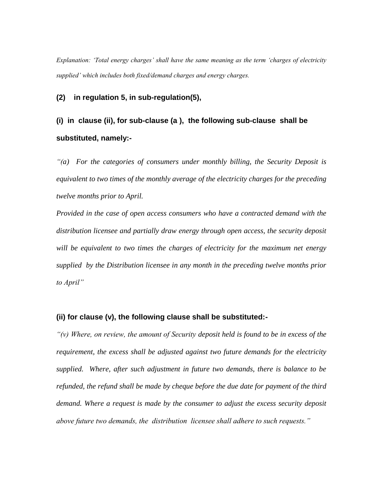*Explanation: ‗Total energy charges' shall have the same meaning as the term ‗charges of electricity supplied' which includes both fixed/demand charges and energy charges.*

### **(2) in regulation 5, in sub-regulation(5),**

# **(i) in clause (ii), for sub-clause (a ), the following sub-clause shall be substituted, namely:-**

*―(a) For the categories of consumers under monthly billing, the Security Deposit is equivalent to two times of the monthly average of the electricity charges for the preceding twelve months prior to April.*

*Provided in the case of open access consumers who have a contracted demand with the distribution licensee and partially draw energy through open access, the security deposit will be equivalent to two times the charges of electricity for the maximum net energy supplied by the Distribution licensee in any month in the preceding twelve months prior to April‖*

### **(ii) for clause (v), the following clause shall be substituted:-**

*―(v) Where, on review, the amount of Security deposit held is found to be in excess of the requirement, the excess shall be adjusted against two future demands for the electricity supplied. Where, after such adjustment in future two demands, there is balance to be refunded, the refund shall be made by cheque before the due date for payment of the third demand. Where a request is made by the consumer to adjust the excess security deposit above future two demands, the distribution licensee shall adhere to such requests.*"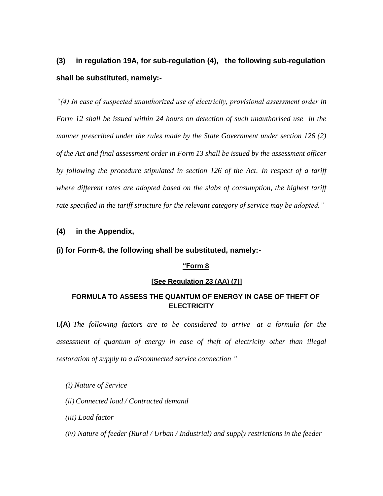# **(3) in regulation 19A, for sub-regulation (4), the following sub-regulation shall be substituted, namely:-**

*―(4) In case of suspected unauthorized use of electricity, provisional assessment order in Form 12 shall be issued within 24 hours on detection of such unauthorised use in the manner prescribed under the rules made by the State Government under section 126 (2) of the Act and final assessment order in Form 13 shall be issued by the assessment officer by following the procedure stipulated in section 126 of the Act. In respect of a tariff where different rates are adopted based on the slabs of consumption, the highest tariff rate specified in the tariff structure for the relevant category of service may be adopted.*"

# **(4) in the Appendix,**

### **(i) for Form-8, the following shall be substituted, namely:-**

## **"Form 8**

# **[See Regulation 23 (AA) (7)]**

# **FORMULA TO ASSESS THE QUANTUM OF ENERGY IN CASE OF THEFT OF ELECTRICITY**

**I.(A**) *The following factors are to be considered to arrive at a formula for the assessment of quantum of energy in case of theft of electricity other than illegal restoration of supply to a disconnected service connection ‖*

### *(i) Nature of Service*

- *(ii) Connected load / Contracted demand*
- *(iii) Load factor*
- *(iv) Nature of feeder (Rural / Urban / Industrial) and supply restrictions in the feeder*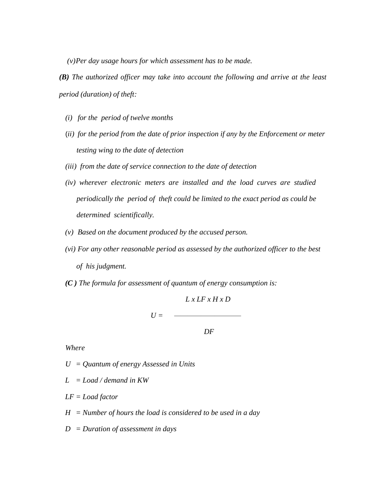*(v)Per day usage hours for which assessment has to be made.*

*(B) The authorized officer may take into account the following and arrive at the least period (duration) of theft:* 

- *(i) for the period of twelve months*
- (*ii) for the period from the date of prior inspection if any by the Enforcement or meter testing wing to the date of detection*
- *(iii) from the date of service connection to the date of detection*
- *(iv) wherever electronic meters are installed and the load curves are studied periodically the period of theft could be limited to the exact period as could be determined scientifically.*
- *(v) Based on the document produced by the accused person.*
- *(vi) For any other reasonable period as assessed by the authorized officer to the best of his judgment.*
- *(C ) The formula for assessment of quantum of energy consumption is:*

 *L x LF x H x D*  $U =$  —————

 *DF*

*Where*

*U = Quantum of energy Assessed in Units*

- *L = Load / demand in KW*
- *LF = Load factor*
- *H = Number of hours the load is considered to be used in a day*
- *D = Duration of assessment in days*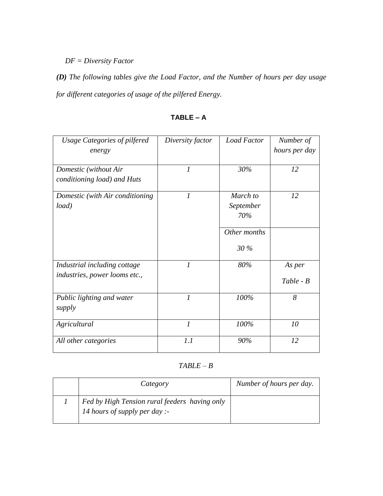*DF = Diversity Factor* 

*(D) The following tables give the Load Factor, and the Number of hours per day usage for different categories of usage of the pilfered Energy.*

| <b>Usage Categories of pilfered</b>                           | Diversity factor | <b>Load Factor</b>           | Number of             |
|---------------------------------------------------------------|------------------|------------------------------|-----------------------|
| energy                                                        |                  |                              | hours per day         |
| Domestic (without Air<br>conditioning load) and Huts          | $\boldsymbol{l}$ | 30%                          | 12                    |
| Domestic (with Air conditioning<br>load)                      | $\mathcal{I}$    | March to<br>September<br>70% | 12                    |
|                                                               |                  | Other months                 |                       |
|                                                               |                  | 30 %                         |                       |
| Industrial including cottage<br>industries, power looms etc., | $\boldsymbol{l}$ | 80%                          | As per<br>$Table - B$ |
| Public lighting and water<br>supply                           | $\overline{l}$   | 100%                         | 8                     |
| Agricultural                                                  | $\mathcal{I}$    | 100%                         | 10                    |
| All other categories                                          | 1.1              | 90%                          | 12                    |

**TABLE – A**

*TABLE – B*

| Category                                                                       | Number of hours per day. |
|--------------------------------------------------------------------------------|--------------------------|
| Fed by High Tension rural feeders having only<br>14 hours of supply per day :- |                          |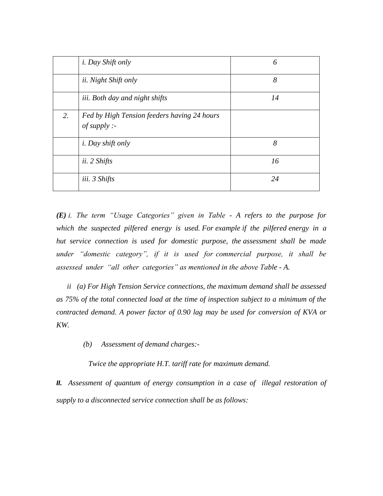|    | <i>i. Day Shift only</i>                                  | 6  |
|----|-----------------------------------------------------------|----|
|    | <i>ii.</i> Night Shift only                               | 8  |
|    | iii. Both day and night shifts                            | 14 |
| 2. | Fed by High Tension feeders having 24 hours<br>of supply: |    |
|    | <i>i. Day shift only</i>                                  | 8  |
|    | ii. 2 Shifts                                              | 16 |
|    | iii. 3 Shifts                                             | 24 |

*(E) i. The term ―Usage Categories‖ given in Table - A refers to the purpose for which the suspected pilfered energy is used. For example if the pilfered energy in a hut service connection is used for domestic purpose, the assessment shall be made under* "*domestic category*", if it is used for commercial purpose, it shall be *assessed under ―all other categories‖ as mentioned in the above Table - A.*

*ii (a) For High Tension Service connections, the maximum demand shall be assessed as 75% of the total connected load at the time of inspection subject to a minimum of the contracted demand. A power factor of 0.90 lag may be used for conversion of KVA or KW.*

 *(b) Assessment of demand charges:-*

*Twice the appropriate H.T. tariff rate for maximum demand.*

*II.* Assessment of quantum of energy consumption in a case of illegal restoration of *supply to a disconnected service connection shall be as follows:*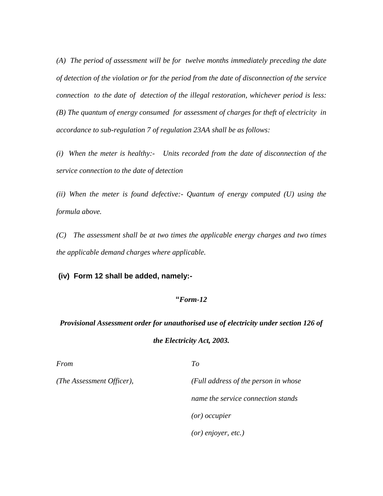*(A) The period of assessment will be for twelve months immediately preceding the date of detection of the violation or for the period from the date of disconnection of the service connection to the date of detection of the illegal restoration, whichever period is less: (B) The quantum of energy consumed for assessment of charges for theft of electricity in accordance to sub-regulation 7 of regulation 23AA shall be as follows:*

*(i) When the meter is healthy:- Units recorded from the date of disconnection of the service connection to the date of detection*

*(ii) When the meter is found defective:- Quantum of energy computed (U) using the formula above.*

*(C) The assessment shall be at two times the applicable energy charges and two times the applicable demand charges where applicable.*

**(iv) Form 12 shall be added, namely:-**

## **"***Form-12*

# *Provisional Assessment order for unauthorised use of electricity under section 126 of the Electricity Act, 2003.*

*From To*

*(The Assessment Officer), (Full address of the person in whose name the service connection stands (or) occupier (or) enjoyer, etc.)*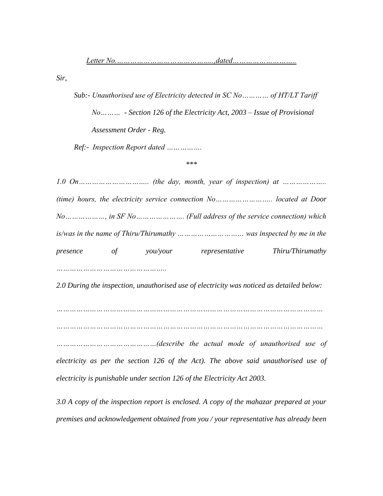*Sir,*

*Sub:- Unauthorised use of Electricity detected in SC No………… of HT/LT Tariff No……… - Section 126 of the Electricity Act, 2003 – Issue of Provisional Assessment Order - Reg. Ref:- Inspection Report dated …………….*

#### *\*\*\**

*1.0 On………………………….. (the day, month, year of inspection) at ……………….. (time) hours, the electricity service connection No…………………….. located at Door No………………, in SF No…………………. (Full address of the service connection) which is/was in the name of Thiru/Thirumathy ………………………… was inspected by me in the presence of you/your representative Thiru/Thirumathy …………………………………………..*

*2.0 During the inspection, unauthorised use of electricity was noticed as detailed below:*

*…………………………………………………………………………………………………………*

*…………………………………………………………………………………………………………*

*………………………………………(describe the actual mode of unauthorised use of electricity as per the section 126 of the Act). The above said unauthorised use of electricity is punishable under section 126 of the Electricity Act 2003.*

*3.0 A copy of the inspection report is enclosed. A copy of the mahazar prepared at your premises and acknowledgement obtained from you / your representative has already been*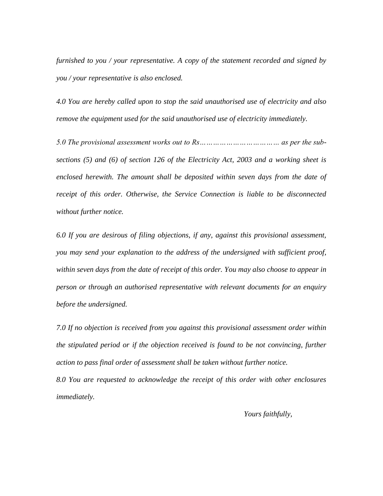*furnished to you / your representative. A copy of the statement recorded and signed by you / your representative is also enclosed.* 

*4.0 You are hereby called upon to stop the said unauthorised use of electricity and also remove the equipment used for the said unauthorised use of electricity immediately.* 

*5.0 The provisional assessment works out to Rs……………………………… as per the subsections (5) and (6) of section 126 of the Electricity Act, 2003 and a working sheet is enclosed herewith. The amount shall be deposited within seven days from the date of receipt of this order. Otherwise, the Service Connection is liable to be disconnected without further notice.*

*6.0 If you are desirous of filing objections, if any, against this provisional assessment, you may send your explanation to the address of the undersigned with sufficient proof, within seven days from the date of receipt of this order. You may also choose to appear in person or through an authorised representative with relevant documents for an enquiry before the undersigned.*

*7.0 If no objection is received from you against this provisional assessment order within the stipulated period or if the objection received is found to be not convincing, further action to pass final order of assessment shall be taken without further notice.*

*8.0 You are requested to acknowledge the receipt of this order with other enclosures immediately.*

 *Yours faithfully,*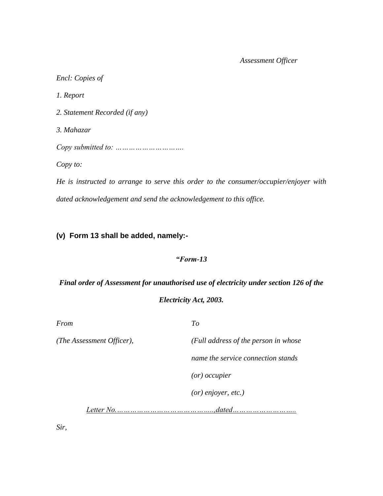# *Assessment Officer*

| Encl: Copies of                                                                       |
|---------------------------------------------------------------------------------------|
| 1. Report                                                                             |
| 2. Statement Recorded (if any)                                                        |
| 3. Mahazar                                                                            |
| Copy submitted to: $\dots \dots \dots \dots \dots \dots \dots$                        |
| Copy to:                                                                              |
| He is instructed to arrange to serve this order to the consumer/occupier/enjoyer with |

*dated acknowledgement and send the acknowledgement to this office.*

# **(v) Form 13 shall be added, namely:-**

# *"Form-13*

# *Final order of Assessment for unauthorised use of electricity under section 126 of the*

*Electricity Act, 2003.*

| From | To |
|------|----|
|      |    |

*(The Assessment Officer), (Full address of the person in whose name the service connection stands (or) occupier (or) enjoyer, etc.) Letter No.……………………………………..,dated………………………..*

*Sir,*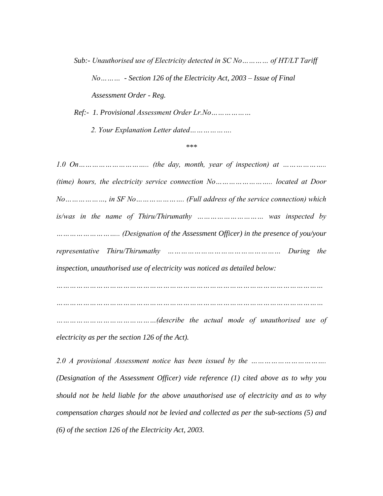*Sub:- Unauthorised use of Electricity detected in SC No………… of HT/LT Tariff No……… - Section 126 of the Electricity Act, 2003 – Issue of Final Assessment Order - Reg.*

*Ref:- 1. Provisional Assessment Order Lr.No………………*

 *2. Your Explanation Letter dated……………….*

*\*\*\**

*1.0 On………………………….. (the day, month, year of inspection) at ……………….. (time) hours, the electricity service connection No…………………….. located at Door No………………, in SF No…………………. (Full address of the service connection) which is/was in the name of Thiru/Thirumathy ………………………… was inspected by ……………………….. (Designation of the Assessment Officer) in the presence of you/your representative Thiru/Thirumathy …………………………………………… During the inspection, unauthorised use of electricity was noticed as detailed below: ………………………………………………………………………………………………………… …………………………………………………………………………………………………………*

*………………………………………(describe the actual mode of unauthorised use of electricity as per the section 126 of the Act).*

*2.0 A provisional Assessment notice has been issued by the ……………………………. (Designation of the Assessment Officer) vide reference (1) cited above as to why you should not be held liable for the above unauthorised use of electricity and as to why compensation charges should not be levied and collected as per the sub-sections (5) and (6) of the section 126 of the Electricity Act, 2003.*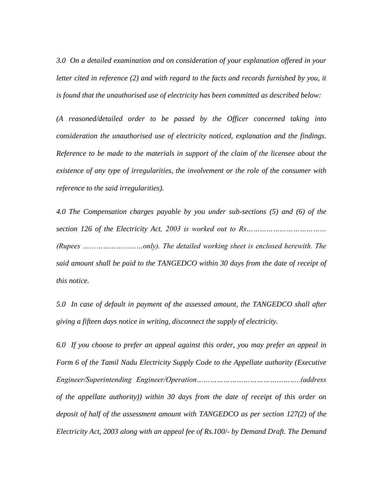*3.0 On a detailed examination and on consideration of your explanation offered in your letter cited in reference (2) and with regard to the facts and records furnished by you, it is found that the unauthorised use of electricity has been committed as described below:*

*(A reasoned/detailed order to be passed by the Officer concerned taking into consideration the unauthorised use of electricity noticed, explanation and the findings. Reference to be made to the materials in support of the claim of the licensee about the existence of any type of irregularities, the involvement or the role of the consumer with reference to the said irregularities).*

*4.0 The Compensation charges payable by you under sub-sections (5) and (6) of the section 126 of the Electricity Act, 2003 is worked out to Rs……………………………… (Rupees ………………………only). The detailed working sheet is enclosed herewith. The*  said amount shall be paid to the TANGEDCO within 30 days from the date of receipt of *this notice.* 

*5.0 In case of default in payment of the assessed amount, the TANGEDCO shall after giving a fifteen days notice in writing, disconnect the supply of electricity.* 

*6.0 If you choose to prefer an appeal against this order, you may prefer an appeal in Form 6 of the Tamil Nadu Electricity Supply Code to the Appellate authority (Executive Engineer/Superintending Engineer/Operation………………………………………..(address of the appellate authority)) within 30 days from the date of receipt of this order on deposit of half of the assessment amount with TANGEDCO as per section 127(2) of the Electricity Act, 2003 along with an appeal fee of Rs.100/- by Demand Draft. The Demand*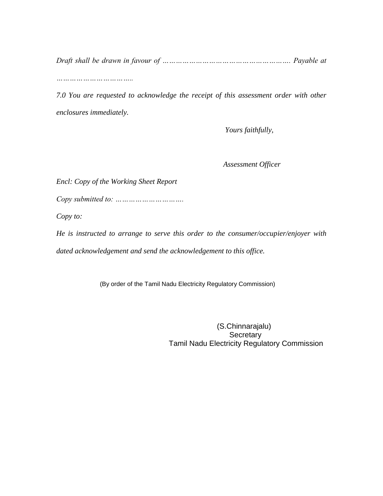*Draft shall be drawn in favour of …………………………………………………. Payable at* 

*……………………………..*

*7.0 You are requested to acknowledge the receipt of this assessment order with other enclosures immediately.*

 *Yours faithfully,*

 *Assessment Officer*

*Encl: Copy of the Working Sheet Report*

*Copy submitted to: ………………………….*

*Copy to:*

*He is instructed to arrange to serve this order to the consumer/occupier/enjoyer with dated acknowledgement and send the acknowledgement to this office.*

(By order of the Tamil Nadu Electricity Regulatory Commission)

 (S.Chinnarajalu) **Secretary** Tamil Nadu Electricity Regulatory Commission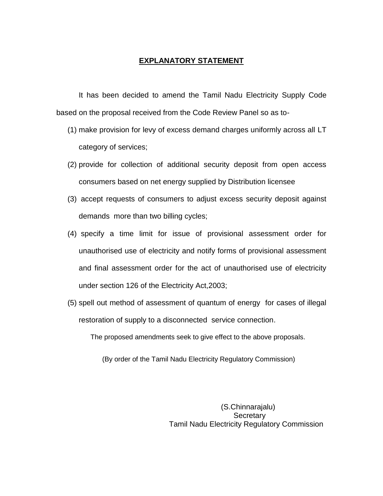## **EXPLANATORY STATEMENT**

It has been decided to amend the Tamil Nadu Electricity Supply Code based on the proposal received from the Code Review Panel so as to-

- (1) make provision for levy of excess demand charges uniformly across all LT category of services;
- (2) provide for collection of additional security deposit from open access consumers based on net energy supplied by Distribution licensee
- (3) accept requests of consumers to adjust excess security deposit against demands more than two billing cycles;
- (4) specify a time limit for issue of provisional assessment order for unauthorised use of electricity and notify forms of provisional assessment and final assessment order for the act of unauthorised use of electricity under section 126 of the Electricity Act,2003;
- (5) spell out method of assessment of quantum of energy for cases of illegal restoration of supply to a disconnected service connection.

The proposed amendments seek to give effect to the above proposals.

(By order of the Tamil Nadu Electricity Regulatory Commission)

 (S.Chinnarajalu) **Secretary** Tamil Nadu Electricity Regulatory Commission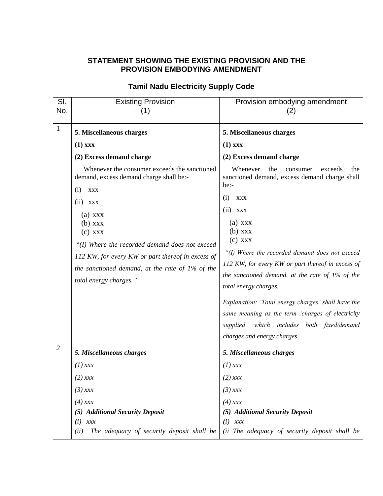# **STATEMENT SHOWING THE EXISTING PROVISION AND THE PROVISION EMBODYING AMENDMENT**

| SI.<br>No.     | <b>Existing Provision</b><br>(1)                                                                                                                                                                                                                                                                                                                                                                                            | Provision embodying amendment<br>(2)                                                                                                                                                                                                                                                                                                                                                                                                                                                                 |
|----------------|-----------------------------------------------------------------------------------------------------------------------------------------------------------------------------------------------------------------------------------------------------------------------------------------------------------------------------------------------------------------------------------------------------------------------------|------------------------------------------------------------------------------------------------------------------------------------------------------------------------------------------------------------------------------------------------------------------------------------------------------------------------------------------------------------------------------------------------------------------------------------------------------------------------------------------------------|
| $\mathbf{1}$   | 5. Miscellaneous charges<br>$(1)$ xxx<br>(2) Excess demand charge<br>Whenever the consumer exceeds the sanctioned<br>demand, excess demand charge shall be:-<br>(i)<br><b>XXX</b><br>(ii)<br>XXX<br>$(a)$ xxx<br>$(b)$ xxx<br>$(c)$ xxx<br>"(I) Where the recorded demand does not exceed<br>112 KW, for every KW or part thereof in excess of<br>the sanctioned demand, at the rate of 1% of the<br>total energy charges." | 5. Miscellaneous charges<br>$(1)$ xxx<br>(2) Excess demand charge<br>Whenever<br>the<br>exceeds<br>the<br>consumer<br>sanctioned demand, excess demand charge shall<br>$be: -$<br>(i)<br><b>XXX</b><br>$(ii)$ XXX<br>$(a)$ xxx<br>$(b)$ xxx<br>$(c)$ xxx<br>"(I) Where the recorded demand does not exceed<br>112 KW, for every KW or part thereof in excess of<br>the sanctioned demand, at the rate of $1\%$ of the<br>total energy charges.<br>Explanation: 'Total energy charges' shall have the |
|                |                                                                                                                                                                                                                                                                                                                                                                                                                             | same meaning as the term 'charges of electricity<br>supplied' which includes both fixed/demand<br>charges and energy charges                                                                                                                                                                                                                                                                                                                                                                         |
| $\overline{2}$ | 5. Miscellaneous charges                                                                                                                                                                                                                                                                                                                                                                                                    | 5. Miscellaneous charges                                                                                                                                                                                                                                                                                                                                                                                                                                                                             |
|                | $(1)$ xxx                                                                                                                                                                                                                                                                                                                                                                                                                   | $(1)$ xxx                                                                                                                                                                                                                                                                                                                                                                                                                                                                                            |
|                | $(2)$ xxx                                                                                                                                                                                                                                                                                                                                                                                                                   | $(2)$ xxx                                                                                                                                                                                                                                                                                                                                                                                                                                                                                            |
|                | $(3)$ xxx                                                                                                                                                                                                                                                                                                                                                                                                                   | $(3)$ xxx                                                                                                                                                                                                                                                                                                                                                                                                                                                                                            |
|                | $(4)$ xxx<br>(5) Additional Security Deposit<br>(i)<br>xxx<br>The adequacy of security deposit shall be<br>(ii)                                                                                                                                                                                                                                                                                                             | $(4)$ xxx<br>(5) Additional Security Deposit<br>$(i)$ xxx<br>(ii The adequacy of security deposit shall be                                                                                                                                                                                                                                                                                                                                                                                           |

# **Tamil Nadu Electricity Supply Code**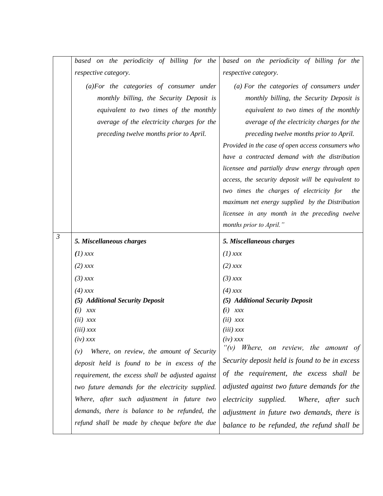|                | based on the periodicity of billing for the       | based on the periodicity of billing for the        |
|----------------|---------------------------------------------------|----------------------------------------------------|
|                | respective category.                              | respective category.                               |
|                | $(a) For the categories of consumer under$        | (a) For the categories of consumers under          |
|                | monthly billing, the Security Deposit is          | monthly billing, the Security Deposit is           |
|                | equivalent to two times of the monthly            | equivalent to two times of the monthly             |
|                | average of the electricity charges for the        | average of the electricity charges for the         |
|                | preceding twelve months prior to April.           | preceding twelve months prior to April.            |
|                |                                                   | Provided in the case of open access consumers who  |
|                |                                                   | have a contracted demand with the distribution     |
|                |                                                   | licensee and partially draw energy through open    |
|                |                                                   | access, the security deposit will be equivalent to |
|                |                                                   | two times the charges of electricity for<br>the    |
|                |                                                   | maximum net energy supplied by the Distribution    |
|                |                                                   | licensee in any month in the preceding twelve      |
|                |                                                   | months prior to April."                            |
| $\mathfrak{Z}$ | 5. Miscellaneous charges                          | 5. Miscellaneous charges                           |
|                | $(1)$ xxx                                         | $(1)$ xxx                                          |
|                | $(2)$ xxx                                         | $(2)$ xxx                                          |
|                | $(3)$ xxx                                         | $(3)$ xxx                                          |
|                | $(4)$ xxx                                         | $(4)$ xxx                                          |
|                | (5) Additional Security Deposit                   | (5) Additional Security Deposit                    |
|                | (i)<br>xxx                                        | (i)<br>xxx                                         |
|                | $(ii)$ $xxx$                                      | $(ii)$ xxx<br>$(iii)$ xxx                          |
|                | $(iii)$ xxx<br>$(iv)$ xxx                         | $(iv)$ xxx                                         |
|                | Where, on review, the amount of Security<br>(v)   | " $(v)$ Where, on review, the amount of            |
|                | deposit held is found to be in excess of the      | Security deposit held is found to be in excess     |
|                | requirement, the excess shall be adjusted against | of the requirement, the excess shall be            |
|                | two future demands for the electricity supplied.  | adjusted against two future demands for the        |
|                |                                                   |                                                    |
|                | Where, after such adjustment in future two        | electricity supplied.<br>Where, after such         |
|                | demands, there is balance to be refunded, the     | adjustment in future two demands, there is         |
|                | refund shall be made by cheque before the due     | balance to be refunded, the refund shall be        |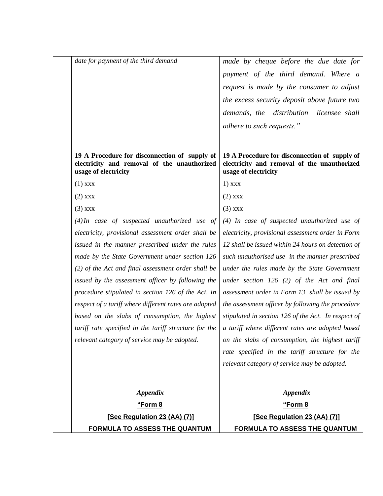| date for payment of the third demand                                                                                 | made by cheque before the due date for                                                                               |
|----------------------------------------------------------------------------------------------------------------------|----------------------------------------------------------------------------------------------------------------------|
|                                                                                                                      | payment of the third demand. Where a                                                                                 |
|                                                                                                                      | request is made by the consumer to adjust                                                                            |
|                                                                                                                      | the excess security deposit above future two                                                                         |
|                                                                                                                      | demands, the distribution licensee shall                                                                             |
|                                                                                                                      | adhere to such requests."                                                                                            |
|                                                                                                                      |                                                                                                                      |
| 19 A Procedure for disconnection of supply of<br>electricity and removal of the unauthorized<br>usage of electricity | 19 A Procedure for disconnection of supply of<br>electricity and removal of the unauthorized<br>usage of electricity |
| $(1)$ xxx                                                                                                            | $1)$ xxx                                                                                                             |
| $(2)$ xxx                                                                                                            | $(2)$ xxx                                                                                                            |
| $(3)$ xxx                                                                                                            | $(3)$ xxx                                                                                                            |
| $(4)$ In case of suspected unauthorized use of                                                                       | $(4)$ In case of suspected unauthorized use of                                                                       |
| electricity, provisional assessment order shall be                                                                   | electricity, provisional assessment order in Form                                                                    |
| issued in the manner prescribed under the rules                                                                      | 12 shall be issued within 24 hours on detection of                                                                   |
| made by the State Government under section 126                                                                       | such unauthorised use in the manner prescribed                                                                       |
| (2) of the Act and final assessment order shall be                                                                   | under the rules made by the State Government                                                                         |
| issued by the assessment officer by following the                                                                    | under section $126$ (2) of the Act and final                                                                         |
| procedure stipulated in section 126 of the Act. In                                                                   | assessment order in Form 13 shall be issued by                                                                       |
| respect of a tariff where different rates are adopted                                                                | the assessment officer by following the procedure                                                                    |
| based on the slabs of consumption, the highest                                                                       | stipulated in section 126 of the Act. In respect of                                                                  |
| tariff rate specified in the tariff structure for the                                                                | a tariff where different rates are adopted based                                                                     |
| relevant category of service may be adopted.                                                                         | on the slabs of consumption, the highest tariff                                                                      |
|                                                                                                                      | rate specified in the tariff structure for the                                                                       |
|                                                                                                                      | relevant category of service may be adopted.                                                                         |
|                                                                                                                      |                                                                                                                      |
| <b>Appendix</b>                                                                                                      | <b>Appendix</b>                                                                                                      |
| "Form 8                                                                                                              | "Form 8                                                                                                              |
| [See Regulation 23 (AA) (7)]                                                                                         | [See Regulation 23 (AA) (7)]                                                                                         |
| FORMULA TO ASSESS THE QUANTUM                                                                                        | FORMULA TO ASSESS THE QUANTUM                                                                                        |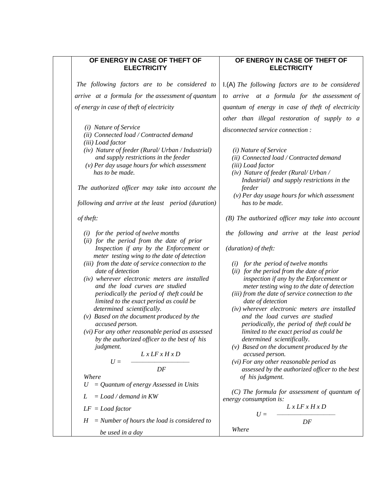## **OF ENERGY IN CASE OF THEFT OF ELECTRICITY**

*The following factors are to be considered to arrive at a formula for the assessment of quantum of energy in case of theft of electricity* 

- *(i) Nature of Service*
- *(ii) Connected load / Contracted demand*
- *(iii) Load factor*
- *(iv) Nature of feeder (Rural/ Urban / Industrial) and supply restrictions in the feeder*
- *(v) Per day usage hours for which assessment has to be made.*

*The authorized officer may take into account the* 

*following and arrive at the least period (duration)* 

*of theft:* 

- *(i) for the period of twelve months*
- (*ii) for the period from the date of prior Inspection if any by the Enforcement or meter testing wing to the date of detection*
- *(iii) from the date of service connection to the date of detection*
- *(iv) wherever electronic meters are installed and the load curves are studied periodically the period of theft could be limited to the exact period as could be determined scientifically.*
- *(v) Based on the document produced by the accused person.*
- *(vi) For any other reasonable period as assessed by the authorized officer to the best of his judgment.*

$$
U = \frac{Lx \, LFx \, Hx \, D}{DF}
$$

*Where*

*U = Quantum of energy Assessed in Units*

- *L = Load / demand in KW*
- *LF = Load factor*
- *H = Number of hours the load is considered to be used in a day*

# **OF ENERGY IN CASE OF THEFT OF ELECTRICITY**

I.(A) *The following factors are to be considered to arrive at a formula for the assessment of quantum of energy in case of theft of electricity other than illegal restoration of supply to a disconnected service connection :*

- *(i) Nature of Service*
- *(ii) Connected load / Contracted demand*
- *(iii) Load factor*
- *(iv) Nature of feeder (Rural/ Urban / Industrial) and supply restrictions in the feeder*
- *(v) Per day usage hours for which assessment has to be made.*

*(B) The authorized officer may take into account* 

*the following and arrive at the least period* 

*(duration) of theft:* 

*Where*

- *(i) for the period of twelve months*
- (*ii) for the period from the date of prior inspection if any by the Enforcement or meter testing wing to the date of detection*
- *(iii) from the date of service connection to the date of detection*
- *(iv) wherever electronic meters are installed and the load curves are studied periodically, the period of theft could be limited to the exact period as could be determined scientifically.*
- *(v) Based on the document produced by the accused person.*
- *(vi) For any other reasonable period as assessed by the authorized officer to the best of his judgment.*

*(C) The formula for assessment of quantum of energy consumption is:*

$$
U = \frac{Lx \, LFx \, Hx \, D}{DF}
$$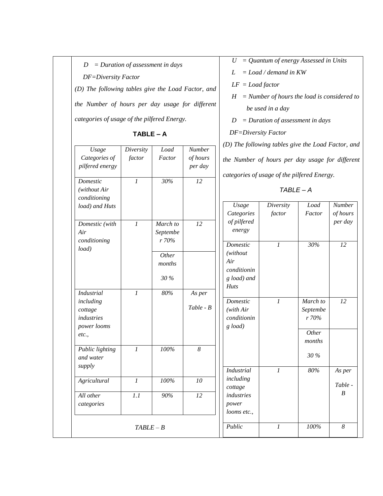*DF=Diversity Factor*

*(D) The following tables give the Load Factor, and the Number of hours per day usage for different categories of usage of the pilfered Energy.*

**TABLE – A**

| Usage                                                                           | Diversity                   | Load                         | Number              |
|---------------------------------------------------------------------------------|-----------------------------|------------------------------|---------------------|
| Categories of<br>pilfered energy                                                | factor                      | Factor                       | of hours<br>per day |
| Domestic<br>(without Air<br>conditioning<br>load) and Huts                      | $\mathcal I$                | 30%                          | 12                  |
| Domestic (with<br>Air<br>conditioning<br>load)                                  | $\boldsymbol{l}$            | March to<br>Septembe<br>r70% | 12                  |
|                                                                                 |                             | Other<br>months              |                     |
|                                                                                 |                             | 30 %                         |                     |
| <b>Industrial</b><br>including<br>cottage<br>industries<br>power looms<br>etc., | $\mathcal{I}_{\mathcal{I}}$ | 80%                          | As per<br>Table - B |
| Public lighting<br>and water<br>supply                                          | $\overline{l}$              | $100\%$                      | 8                   |
| Agricultural                                                                    | $\boldsymbol{l}$            | 100%                         | 10                  |
| All other<br>categories                                                         | 1.1                         | 90%                          | 12                  |

*U = Quantum of energy Assessed in Units*

*L = Load / demand in KW*

*LF = Load factor*

*H = Number of hours the load is considered to be used in a day*

*D = Duration of assessment in days*

 *DF=Diversity Factor*

*(D) The following tables give the Load Factor, and* 

*the Number of hours per day usage for different* 

*categories of usage of the pilfered Energy.*

*TABLE – A*

|             | Usage             | Diversity      | Load     | <b>Number</b> |
|-------------|-------------------|----------------|----------|---------------|
|             | Categories        | factor         | Factor   | of hours      |
| 12          | of pilfered       |                |          | per day       |
|             | energy            |                |          |               |
|             | <b>Domestic</b>   | $\mathfrak{1}$ | 30%      | 12            |
|             | (without          |                |          |               |
|             | Air               |                |          |               |
|             | conditionin       |                |          |               |
|             | g load) and       |                |          |               |
|             | Huts              |                |          |               |
| As per      |                   |                |          |               |
|             | <b>Domestic</b>   | $\mathfrak{1}$ | March to | 12            |
| $Table - B$ | (with Air         |                | Septembe |               |
|             | conditionin       |                | r70%     |               |
|             | g load)           |                | Other    |               |
|             |                   |                | months   |               |
| 8           |                   |                |          |               |
|             |                   |                | 30 %     |               |
|             | <i>Industrial</i> | $\mathcal{I}$  | 80%      | As per        |
| 10          | including         |                |          |               |
|             | cottage           |                |          | Table -       |
| 12          | industries        |                |          | B             |
|             | power             |                |          |               |
|             | looms etc.,       |                |          |               |
|             | Public            | $\mathcal{I}$  | 100%     | 8             |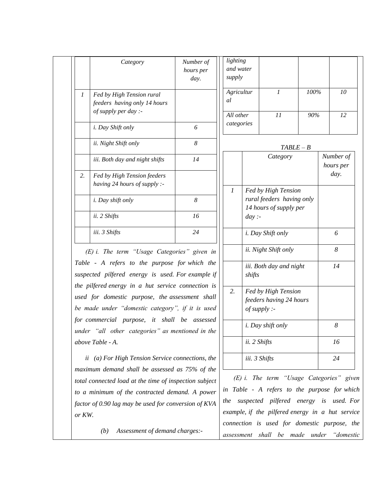|                  | Category                                                      | Number of<br>hours per<br>day. | lighting<br>and water<br>supply |      |                                                     |             |                        |
|------------------|---------------------------------------------------------------|--------------------------------|---------------------------------|------|-----------------------------------------------------|-------------|------------------------|
| $\boldsymbol{l}$ | Fed by High Tension rural<br>feeders having only 14 hours     |                                | Agricultur<br>al                |      | $\mathcal{I}$                                       | 100%        | 10                     |
|                  | of supply per day :-                                          |                                | All other                       |      | 11                                                  | 90%         | 12                     |
|                  | i. Day Shift only                                             | 6                              | categories                      |      |                                                     |             |                        |
|                  | ii. Night Shift only                                          | 8                              |                                 |      |                                                     | $TABLE - B$ |                        |
|                  | iii. Both day and night shifts                                | 14                             |                                 |      | Category                                            |             | Number of<br>hours per |
| 2.               | Fed by High Tension feeders<br>having $24$ hours of supply :- |                                |                                 |      |                                                     |             | day.                   |
|                  |                                                               |                                | $\boldsymbol{l}$                |      | Fed by High Tension                                 |             |                        |
|                  | i. Day shift only                                             | 8                              |                                 |      | rural feeders having only<br>14 hours of supply per |             |                        |
|                  | ii. 2 Shifts                                                  | 16                             |                                 | day: |                                                     |             |                        |
|                  | iii. 3 Shifts                                                 | 24                             |                                 |      | <i>i. Day Shift only</i>                            |             | 6                      |
|                  | (E) i. The term "Usage Categories" given in                   |                                |                                 |      | ii. Night Shift only                                |             | $\delta$               |

*Table - A refers to the purpose for which the suspected pilfered energy is used. For example if the pilfered energy in a hut service connection is used for domestic purpose, the assessment shall*  be made under "domestic category", if it is used *for commercial purpose, it shall be assessed under "all other categories" as mentioned in the above Table - A.*

*ii (a) For High Tension Service connections, the maximum demand shall be assessed as 75% of the total connected load at the time of inspection subject to a minimum of the contracted demand. A power factor of 0.90 lag may be used for conversion of KVA or KW.*

 *(b) Assessment of demand charges:-*

*of supply : i. Day shift only 8 ii. 2 Shifts 16 iii. 3 Shifts 24 (E) i. The term ―Usage Categories‖ given in Table - A refers to the purpose for which the suspected pilfered energy is used. For example, if the pilfered energy in a hut service connection is used for domestic purpose, the assessment shall be made under ―domestic* 

*14*

*iii. Both day and night* 

*feeders having 24 hours* 

*2. Fed by High Tension* 

*shifts*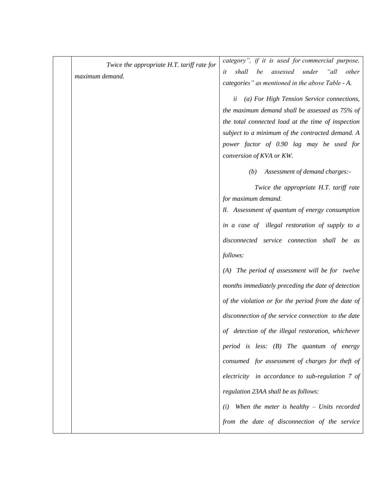| Twice the appropriate H.T. tariff rate for | category", if it is used for commercial purpose,        |
|--------------------------------------------|---------------------------------------------------------|
| maximum demand.                            | assessed<br>under<br>"all<br>shall<br>be<br>other<br>it |
|                                            | categories" as mentioned in the above Table - A.        |
|                                            | (a) For High Tension Service connections,<br>ü          |
|                                            | the maximum demand shall be assessed as 75% of          |
|                                            | the total connected load at the time of inspection      |
|                                            | subject to a minimum of the contracted demand. A        |
|                                            | power factor of 0.90 lag may be used for                |
|                                            | conversion of KVA or KW.                                |
|                                            | (b)<br>Assessment of demand charges:-                   |
|                                            | Twice the appropriate H.T. tariff rate                  |
|                                            | for maximum demand.                                     |
|                                            | II. Assessment of quantum of energy consumption         |
|                                            | in a case of illegal restoration of supply to a         |
|                                            | disconnected service connection shall be as             |
|                                            | follows:                                                |
|                                            | (A) The period of assessment will be for twelve         |
|                                            | months immediately preceding the date of detection      |
|                                            | of the violation or for the period from the date of     |
|                                            | disconnection of the service connection to the date     |
|                                            | of detection of the illegal restoration, whichever      |
|                                            | period is less: $(B)$ The quantum of energy             |
|                                            | consumed for assessment of charges for theft of         |
|                                            | electricity in accordance to sub-regulation 7 of        |
|                                            | regulation 23AA shall be as follows:                    |
|                                            | When the meter is healthy $-$ Units recorded<br>(i)     |
|                                            | from the date of disconnection of the service           |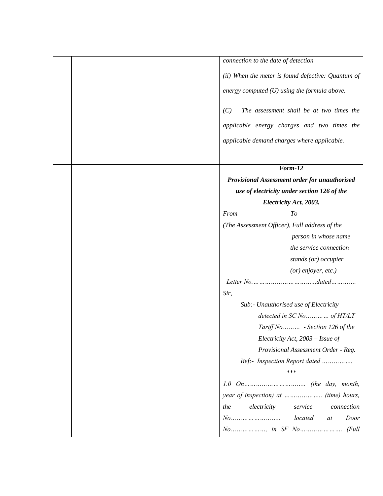| connection to the date of detection                |
|----------------------------------------------------|
| (ii) When the meter is found defective: Quantum of |
| energy computed $(U)$ using the formula above.     |
| (C)<br>The assessment shall be at two times the    |
| applicable energy charges and two times the        |
| applicable demand charges where applicable.        |
| Form-12                                            |
| Provisional Assessment order for unauthorised      |
| use of electricity under section 126 of the        |
| Electricity Act, 2003.                             |
| From<br>To                                         |
| (The Assessment Officer), Full address of the      |
| person in whose name                               |
| the service connection                             |
| stands (or) occupier                               |
| $(or)$ enjoyer, etc.)                              |
|                                                    |
| Sir,                                               |
| Sub:- Unauthorised use of Electricity              |
|                                                    |
| Tariff No - Section 126 of the                     |
| Electricity Act, 2003 - Issue of                   |
| Provisional Assessment Order - Reg.                |
| Ref:- Inspection Report dated                      |
| ***                                                |
|                                                    |
| electricity<br>service<br>connection<br>the        |
| located<br>$No$<br>Door<br>at                      |
|                                                    |
|                                                    |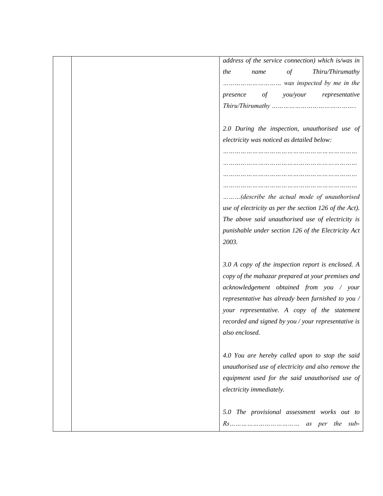| address of the service connection) which is/was in     |
|--------------------------------------------------------|
| Thiru/Thirumathy<br>$\circ f$<br>the<br>name           |
|                                                        |
| you/your<br>of<br>representative<br>presence           |
|                                                        |
|                                                        |
| 2.0 During the inspection, unauthorised use of         |
| electricity was noticed as detailed below:             |
|                                                        |
|                                                        |
|                                                        |
|                                                        |
| (describe the actual mode of unauthorised              |
| use of electricity as per the section 126 of the Act). |
| The above said unauthorised use of electricity is      |
| punishable under section 126 of the Electricity Act    |
| 2003.                                                  |
|                                                        |
| 3.0 A copy of the inspection report is enclosed. A     |
| copy of the mahazar prepared at your premises and      |
| acknowledgement obtained from you / your               |
| representative has already been furnished to you /     |
| your representative. A copy of the statement           |
| recorded and signed by you / your representative is    |
| also enclosed.                                         |
|                                                        |
| 4.0 You are hereby called upon to stop the said        |
| unauthorised use of electricity and also remove the    |
| equipment used for the said unauthorised use of        |
| electricity immediately.                               |
|                                                        |
| 5.0 The provisional assessment works out to            |
| per the sub-<br>Rs<br>as                               |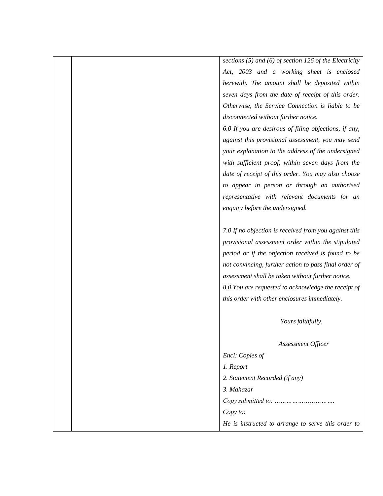*sections (5) and (6) of section 126 of the Electricity Act, 2003 and a working sheet is enclosed herewith. The amount shall be deposited within seven days from the date of receipt of this order. Otherwise, the Service Connection is liable to be disconnected without further notice.*

*6.0 If you are desirous of filing objections, if any, against this provisional assessment, you may send your explanation to the address of the undersigned with sufficient proof, within seven days from the date of receipt of this order. You may also choose to appear in person or through an authorised representative with relevant documents for an enquiry before the undersigned.*

*7.0 If no objection is received from you against this provisional assessment order within the stipulated period or if the objection received is found to be not convincing, further action to pass final order of assessment shall be taken without further notice. 8.0 You are requested to acknowledge the receipt of this order with other enclosures immediately.*

| Yours faithfully,                |                                                    |
|----------------------------------|----------------------------------------------------|
|                                  | Assessment Officer                                 |
| Encl: Copies of                  |                                                    |
| 1. Report                        |                                                    |
| 2. Statement Recorded (if any)   |                                                    |
| 3. Mahazar                       |                                                    |
| Copy submitted to: $\dots \dots$ |                                                    |
| Copy to:                         |                                                    |
|                                  | He is instructed to arrange to serve this order to |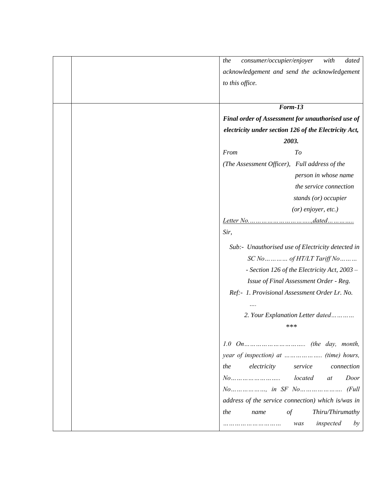| consumer/occupier/enjoyer<br>the<br>with<br>dated     |
|-------------------------------------------------------|
| acknowledgement and send the acknowledgement          |
| to this office.                                       |
|                                                       |
| Form-13                                               |
| Final order of Assessment for unauthorised use of     |
| electricity under section 126 of the Electricity Act, |
| 2003.                                                 |
| T <sub>o</sub><br>From                                |
| (The Assessment Officer), Full address of the         |
| person in whose name                                  |
| the service connection                                |
| stands (or) occupier                                  |
| (or) enjoyer, etc.)                                   |
| Letter No.<br><i>dated</i>                            |
| Sir,                                                  |
| Sub:- Unauthorised use of Electricity detected in     |
| $SCN$ o    of HT/LT Tariff No                         |
| - Section 126 of the Electricity Act, 2003 -          |
| Issue of Final Assessment Order - Reg.                |
| Ref:- 1. Provisional Assessment Order Lr. No.         |
|                                                       |
| 2. Your Explanation Letter dated                      |
| ***                                                   |
|                                                       |
|                                                       |
| electricity<br>service<br>the<br>connection           |
| located<br>Door<br>at                                 |
|                                                       |
| address of the service connection) which is/was in    |
| Thiru/Thirumathy<br>the<br>$\sigma f$<br>name         |
| inspected<br>was<br>by                                |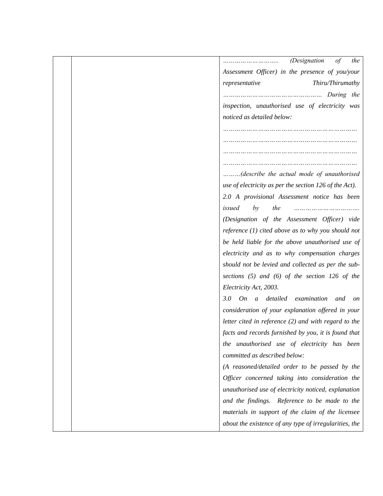| <i>(Designation</i><br>the<br>οf                         |
|----------------------------------------------------------|
| Assessment Officer) in the presence of you/your          |
| Thiru/Thirumathy<br>representative                       |
|                                                          |
| inspection, unauthorised use of electricity was          |
| noticed as detailed below:                               |
|                                                          |
|                                                          |
|                                                          |
|                                                          |
| (describe the actual mode of unauthorised                |
| use of electricity as per the section 126 of the Act).   |
| 2.0 A provisional Assessment notice has been             |
| by<br>the<br>issued                                      |
| (Designation of the Assessment Officer) vide             |
| reference $(1)$ cited above as to why you should not     |
| be held liable for the above unauthorised use of         |
| electricity and as to why compensation charges           |
| should not be levied and collected as per the sub-       |
| sections $(5)$ and $(6)$ of the section 126 of the       |
| Electricity Act, 2003.                                   |
| 3.0 On a detailed<br>examination<br>and<br><sub>on</sub> |
| consideration of your explanation offered in your        |
| letter cited in reference $(2)$ and with regard to the   |
| facts and records furnished by you, it is found that     |
| the unauthorised use of electricity has been             |
| committed as described below:                            |
| (A reasoned/detailed order to be passed by the           |
| Officer concerned taking into consideration the          |
| unauthorised use of electricity noticed, explanation     |
| and the findings. Reference to be made to the            |
| materials in support of the claim of the licensee        |
| about the existence of any type of irregularities, the   |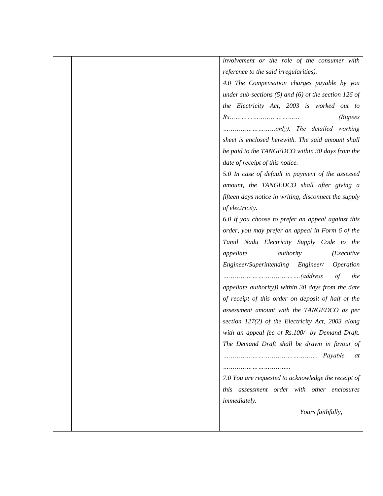*involvement or the role of the consumer with reference to the said irregularities). 4.0 The Compensation charges payable by you under sub-sections (5) and (6) of the section 126 of the Electricity Act, 2003 is worked out to Rs……………………………… (Rupees ………………………only). The detailed working sheet is enclosed herewith. The said amount shall be paid to the TANGEDCO within 30 days from the date of receipt of this notice. 5.0 In case of default in payment of the assessed amount, the TANGEDCO shall after giving a fifteen days notice in writing, disconnect the supply of electricity. 6.0 If you choose to prefer an appeal against this order, you may prefer an appeal in Form 6 of the Tamil Nadu Electricity Supply Code to the appellate authority (Executive Engineer/Superintending Engineer/ Operation ………………………………….(address of the appellate authority)) within 30 days from the date of receipt of this order on deposit of half of the assessment amount with the TANGEDCO as per section 127(2) of the Electricity Act, 2003 along with an appeal fee of Rs.100/- by Demand Draft. The Demand Draft shall be drawn in favour of …………………………………………. Payable at …………………………….. 7.0 You are requested to acknowledge the receipt of this assessment order with other enclosures immediately. Yours faithfully,*